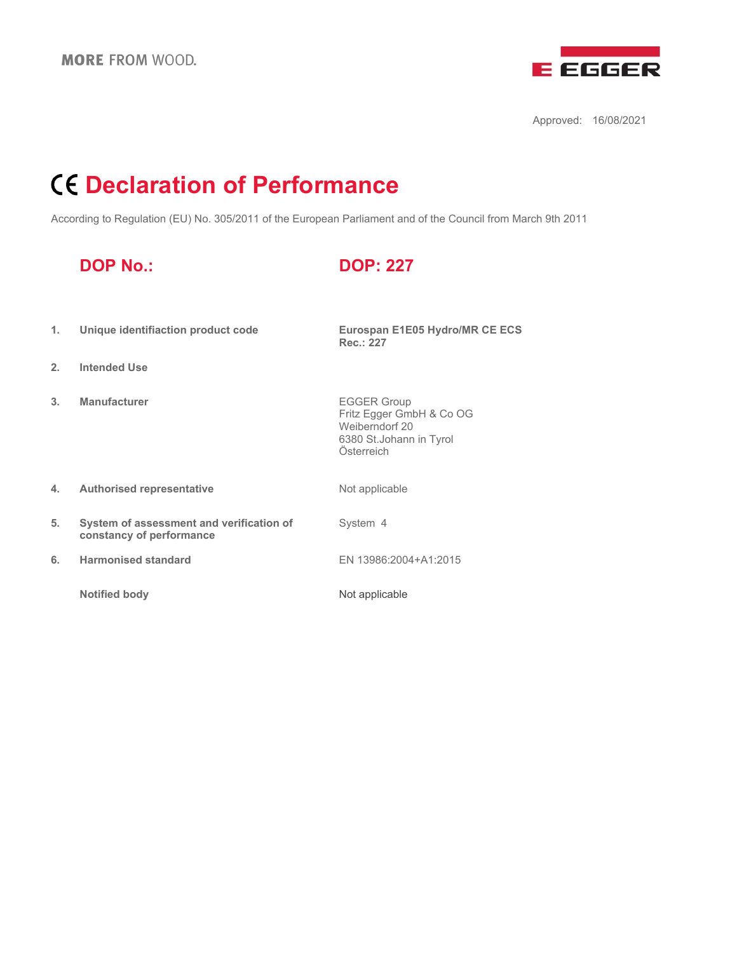

Approved: 16/08/2021

# **Declaration of Performance**

According to Regulation (EU) No. 305/2011 of the European Parliament and of the Council from March 9th 2011

## **DOP No.: DOP: 227**

**Rec.: 227**

- **1. Unique identifiaction product code Eurospan E1E05 Hydro/MR CE ECS**
- **2. Intended Use**
- **3. Manufacturer EGGER Group**

Fritz Egger GmbH & Co OG Weiberndorf 20 6380 St.Johann in Tyrol Österreich

- **4. Authorised representative** Mot applicable
- **5. System of assessment and verification of constancy of performance**
- **6. Harmonised standard** EN 13986:2004+A1:2015
	- **Notified body** Not applicable

System 4